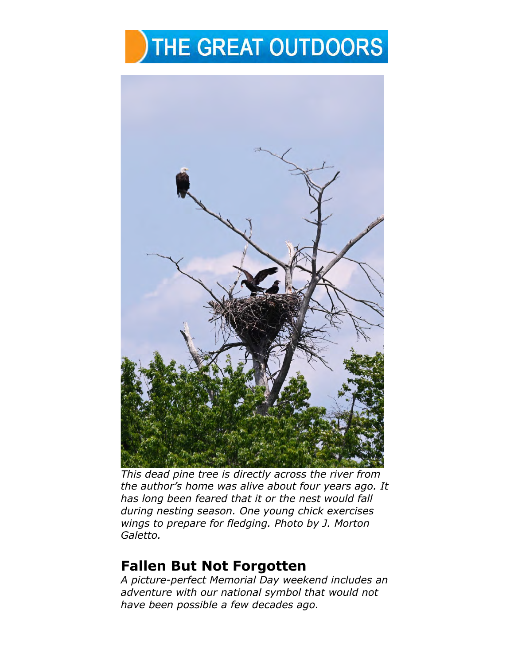## THE GREAT OUTDOORS



*This dead pine tree is directly across the river from the author's home was alive about four years ago. It has long been feared that it or the nest would fall during nesting season. One young chick exercises wings to prepare for fledging. Photo by J. Morton Galetto.* 

## **Fallen But Not Forgotten**

*A picture-perfect Memorial Day weekend includes an adventure with our national symbol that would not have been possible a few decades ago.*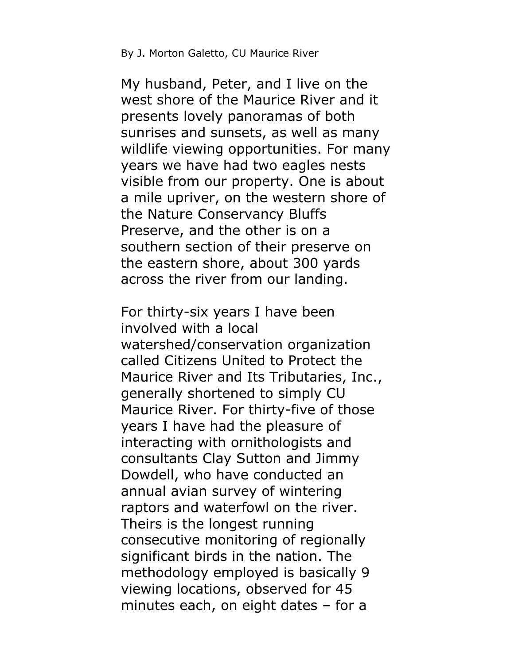## By J. Morton Galetto, CU Maurice River

My husband, Peter, and I live on the west shore of the Maurice River and it presents lovely panoramas of both sunrises and sunsets, as well as many wildlife viewing opportunities. For many years we have had two eagles nests visible from our property. One is about a mile upriver, on the western shore of the Nature Conservancy Bluffs Preserve, and the other is on a southern section of their preserve on the eastern shore, about 300 yards across the river from our landing.

For thirty-six years I have been involved with a local watershed/conservation organization called Citizens United to Protect the Maurice River and Its Tributaries, Inc., generally shortened to simply CU Maurice River. For thirty-five of those years I have had the pleasure of interacting with ornithologists and consultants Clay Sutton and Jimmy Dowdell, who have conducted an annual avian survey of wintering raptors and waterfowl on the river. Theirs is the longest running consecutive monitoring of regionally significant birds in the nation. The methodology employed is basically 9 viewing locations, observed for 45 minutes each, on eight dates – for a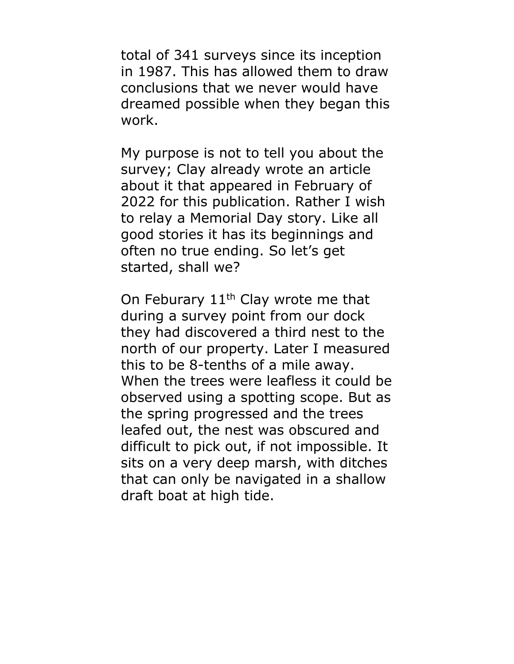total of 341 surveys since its inception in 1987. This has allowed them to draw conclusions that we never would have dreamed possible when they began this work.

My purpose is not to tell you about the survey; Clay already wrote an article about it that appeared in February of 2022 for this publication. Rather I wish to relay a Memorial Day story. Like all good stories it has its beginnings and often no true ending. So let's get started, shall we?

On Feburary  $11<sup>th</sup>$  Clay wrote me that during a survey point from our dock they had discovered a third nest to the north of our property. Later I measured this to be 8-tenths of a mile away. When the trees were leafless it could be observed using a spotting scope. But as the spring progressed and the trees leafed out, the nest was obscured and difficult to pick out, if not impossible. It sits on a very deep marsh, with ditches that can only be navigated in a shallow draft boat at high tide.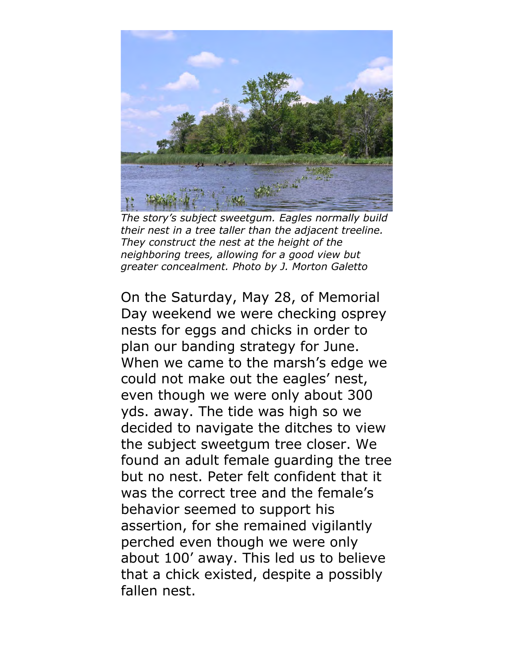

*The story's subject sweetgum. Eagles normally build their nest in a tree taller than the adjacent treeline. They construct the nest at the height of the neighboring trees, allowing for a good view but greater concealment. Photo by J. Morton Galetto* 

On the Saturday, May 28, of Memorial Day weekend we were checking osprey nests for eggs and chicks in order to plan our banding strategy for June. When we came to the marsh's edge we could not make out the eagles' nest, even though we were only about 300 yds. away. The tide was high so we decided to navigate the ditches to view the subject sweetgum tree closer. We found an adult female guarding the tree but no nest. Peter felt confident that it was the correct tree and the female's behavior seemed to support his assertion, for she remained vigilantly perched even though we were only about 100' away. This led us to believe that a chick existed, despite a possibly fallen nest.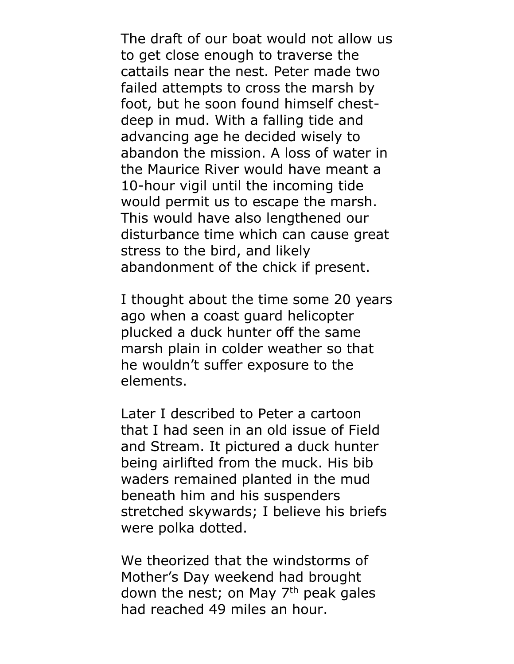The draft of our boat would not allow us to get close enough to traverse the cattails near the nest. Peter made two failed attempts to cross the marsh by foot, but he soon found himself chestdeep in mud. With a falling tide and advancing age he decided wisely to abandon the mission. A loss of water in the Maurice River would have meant a 10-hour vigil until the incoming tide would permit us to escape the marsh. This would have also lengthened our disturbance time which can cause great stress to the bird, and likely abandonment of the chick if present.

I thought about the time some 20 years ago when a coast guard helicopter plucked a duck hunter off the same marsh plain in colder weather so that he wouldn't suffer exposure to the elements.

Later I described to Peter a cartoon that I had seen in an old issue of Field and Stream. It pictured a duck hunter being airlifted from the muck. His bib waders remained planted in the mud beneath him and his suspenders stretched skywards; I believe his briefs were polka dotted.

We theorized that the windstorms of Mother's Day weekend had brought down the nest; on May  $7<sup>th</sup>$  peak gales had reached 49 miles an hour.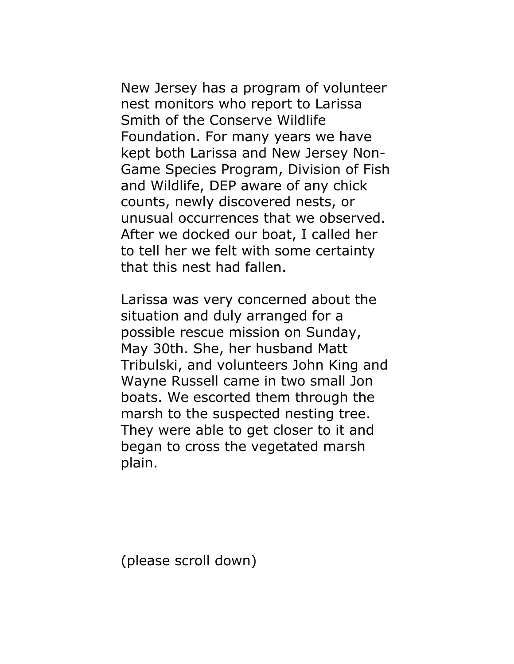New Jersey has a program of volunteer nest monitors who report to Larissa Smith of the Conserve Wildlife Foundation. For many years we have kept both Larissa and New Jersey Non-Game Species Program, Division of Fish and Wildlife, DEP aware of any chick counts, newly discovered nests, or unusual occurrences that we observed. After we docked our boat, I called her to tell her we felt with some certainty that this nest had fallen.

Larissa was very concerned about the situation and duly arranged for a possible rescue mission on Sunday, May 30th. She, her husband Matt Tribulski, and volunteers John King and Wayne Russell came in two small Jon boats. We escorted them through the marsh to the suspected nesting tree. They were able to get closer to it and began to cross the vegetated marsh plain.

(please scroll down)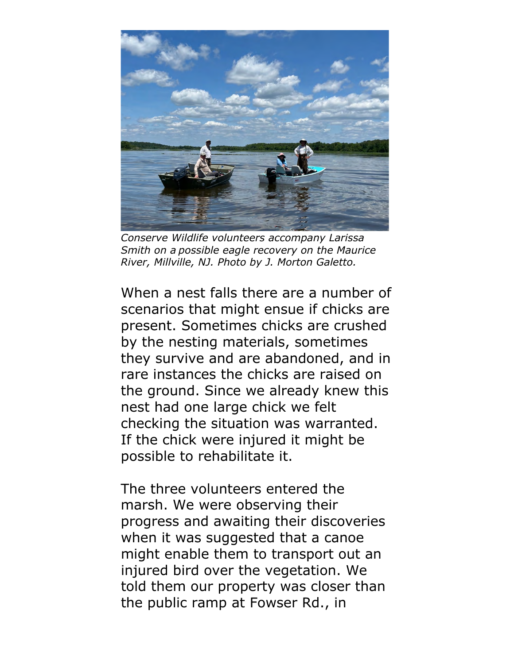

*Conserve Wildlife volunteers accompany Larissa Smith on a possible eagle recovery on the Maurice River, Millville, NJ. Photo by J. Morton Galetto.* 

When a nest falls there are a number of scenarios that might ensue if chicks are present. Sometimes chicks are crushed by the nesting materials, sometimes they survive and are abandoned, and in rare instances the chicks are raised on the ground. Since we already knew this nest had one large chick we felt checking the situation was warranted. If the chick were injured it might be possible to rehabilitate it.

The three volunteers entered the marsh. We were observing their progress and awaiting their discoveries when it was suggested that a canoe might enable them to transport out an injured bird over the vegetation. We told them our property was closer than the public ramp at Fowser Rd., in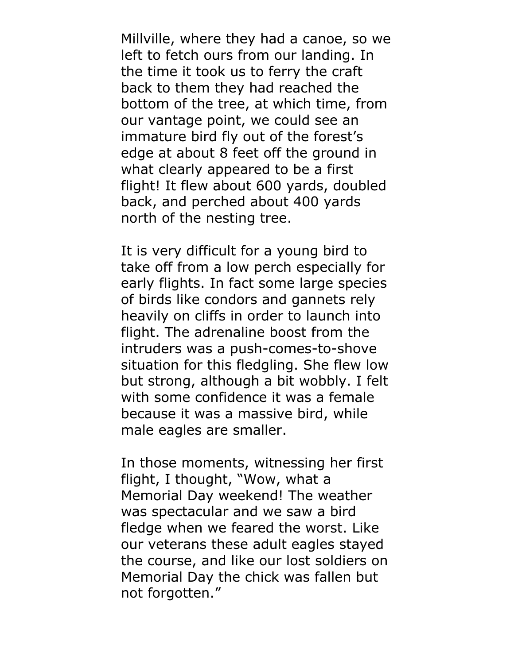Millville, where they had a canoe, so we left to fetch ours from our landing. In the time it took us to ferry the craft back to them they had reached the bottom of the tree, at which time, from our vantage point, we could see an immature bird fly out of the forest's edge at about 8 feet off the ground in what clearly appeared to be a first flight! It flew about 600 yards, doubled back, and perched about 400 yards north of the nesting tree.

It is very difficult for a young bird to take off from a low perch especially for early flights. In fact some large species of birds like condors and gannets rely heavily on cliffs in order to launch into flight. The adrenaline boost from the intruders was a push-comes-to-shove situation for this fledgling. She flew low but strong, although a bit wobbly. I felt with some confidence it was a female because it was a massive bird, while male eagles are smaller.

In those moments, witnessing her first flight, I thought, "Wow, what a Memorial Day weekend! The weather was spectacular and we saw a bird fledge when we feared the worst. Like our veterans these adult eagles stayed the course, and like our lost soldiers on Memorial Day the chick was fallen but not forgotten."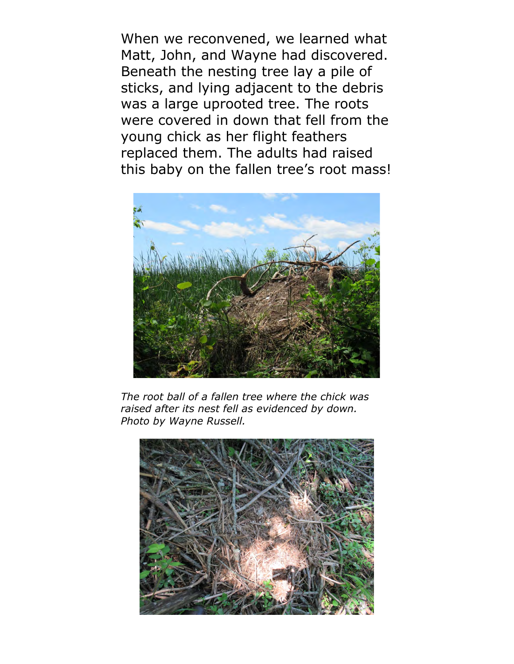When we reconvened, we learned what Matt, John, and Wayne had discovered. Beneath the nesting tree lay a pile of sticks, and lying adjacent to the debris was a large uprooted tree. The roots were covered in down that fell from the young chick as her flight feathers replaced them. The adults had raised this baby on the fallen tree's root mass!



*The root ball of a fallen tree where the chick was raised after its nest fell as evidenced by down. Photo by Wayne Russell.* 

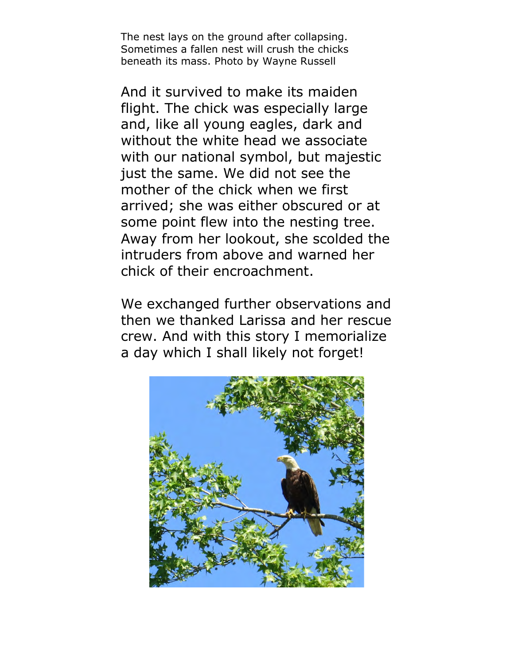The nest lays on the ground after collapsing. Sometimes a fallen nest will crush the chicks beneath its mass. Photo by Wayne Russell

And it survived to make its maiden flight. The chick was especially large and, like all young eagles, dark and without the white head we associate with our national symbol, but majestic just the same. We did not see the mother of the chick when we first arrived; she was either obscured or at some point flew into the nesting tree. Away from her lookout, she scolded the intruders from above and warned her chick of their encroachment.

We exchanged further observations and then we thanked Larissa and her rescue crew. And with this story I memorialize a day which I shall likely not forget!

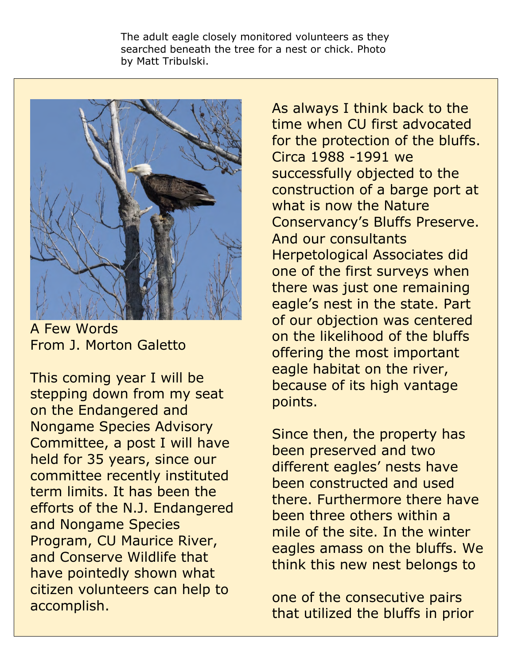The adult eagle closely monitored volunteers as they searched beneath the tree for a nest or chick. Photo by Matt Tribulski.



A Few Words From J. Morton Galetto

This coming year I will be stepping down from my seat on the Endangered and Nongame Species Advisory Committee, a post I will have held for 35 years, since our committee recently instituted term limits. It has been the efforts of the N.J. Endangered and Nongame Species Program, CU Maurice River, and Conserve Wildlife that have pointedly shown what citizen volunteers can help to accomplish.

As always I think back to the time when CU first advocated for the protection of the bluffs. Circa 1988 -1991 we successfully objected to the construction of a barge port at what is now the Nature Conservancy's Bluffs Preserve. And our consultants Herpetological Associates did one of the first surveys when there was just one remaining eagle's nest in the state. Part of our objection was centered on the likelihood of the bluffs offering the most important eagle habitat on the river, because of its high vantage points.

Since then, the property has been preserved and two different eagles' nests have been constructed and used there. Furthermore there have been three others within a mile of the site. In the winter eagles amass on the bluffs. We think this new nest belongs to

one of the consecutive pairs that utilized the bluffs in prior